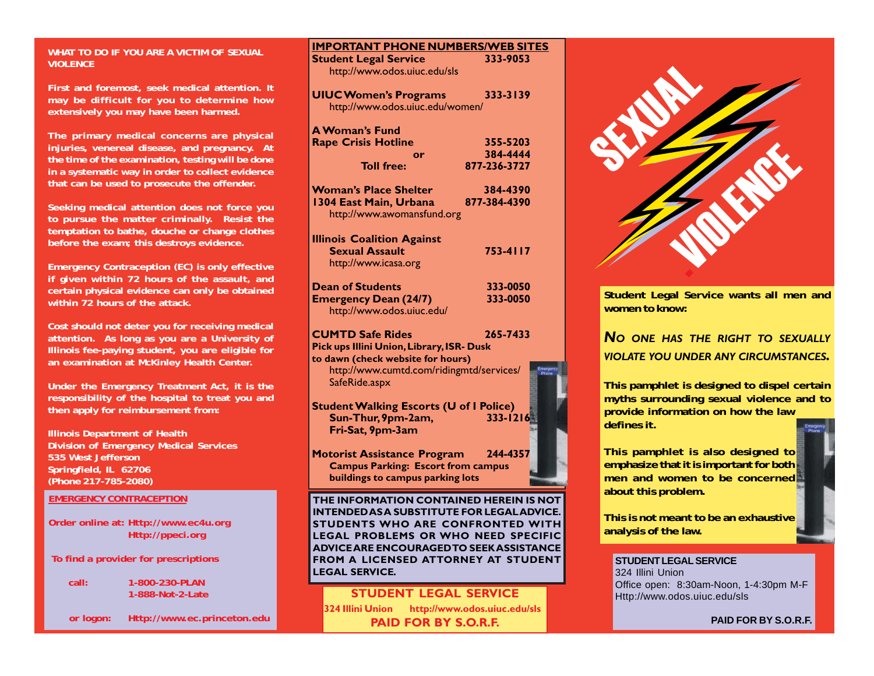## **WHAT TO DO IF YOU ARE A VICTIM OF SEXUAL VIOLENCE**

**First and foremost, seek medical attention. It may be difficult for you to determine how extensively you may have been harmed.**

**The primary medical concerns are physical injuries, venereal disease, and pregnancy. At the time of the examination, testing will be done in a systematic way in order to collect evidence that can be used to prosecute the offender.**

**Seeking medical attention does not force you to pursue the matter criminally. Resist the temptation to bathe, douche or change clothes before the exam; this destroys evidence.**

**Emergency Contraception (EC) is only effective if given within 72 hours of the assault, and certain physical evidence can only be obtained within 72 hours of the attack.**

**Cost should not deter you for receiving medical attention. As long as you are a University of Illinois fee-paying student, you are eligible for an examination at McKinley Health Center.**

**Under the Emergency Treatment Act, it is the responsibility of the hospital to treat you and then apply for reimbursement from:**

**Illinois Department of Health Division of Emergency Medical Services 535 West Jefferson Springfield, IL 62706 (Phone 217-785-2080)**

### **EMERGENCY CONTRACEPTION**

**Order online at: Http://www.ec4u.org Http://ppeci.org**

 **To find a provider for prescriptions**

**call: 1-800-230-PLAN 1-888-Not-2-Late**

 **or logon: Http://www.ec.princeton.edu**

| <b>IMPORTANT PHONE NUMBERS/WEB SITES</b>          |              |
|---------------------------------------------------|--------------|
| <b>Student Legal Service</b>                      | 333-9053     |
| http://www.odos.uiuc.edu/sls                      |              |
| <b>UIUC Women's Programs</b>                      | 333-3139     |
| http://www.odos.uiuc.edu/women/                   |              |
|                                                   |              |
| <b>A Woman's Fund</b>                             |              |
| <b>Rape Crisis Hotline</b>                        | 355-5203     |
| or                                                | 384-4444     |
| <b>Toll free:</b>                                 | 877-236-3727 |
| <b>Woman's Place Shelter</b>                      | 384-4390     |
| 1304 East Main, Urbana                            | 877-384-4390 |
| http://www.awomansfund.org                        |              |
| <b>Illinois Coalition Against</b>                 |              |
| <b>Sexual Assault</b>                             | 753-4117     |
| http://www.icasa.org                              |              |
| <b>Dean of Students</b>                           | 333-0050     |
| <b>Emergency Dean (24/7)</b>                      | 333-0050     |
| http://www.odos.uiuc.edu/                         |              |
| <b>CUMTD Safe Rides</b>                           | 265-7433     |
| Pick ups Illini Union, Library, ISR- Dusk         |              |
| to dawn (check website for hours)                 |              |
| http://www.cumtd.com/ridingmtd/services/          |              |
| SafeRide.aspx                                     |              |
| <b>Student Walking Escorts (U of I Police)</b>    |              |
| Sun-Thur, 9pm-2am,                                | 333-1216     |
| Fri-Sat, 9pm-3am                                  |              |
|                                                   |              |
| <b>Motorist Assistance Program</b>                | 244-4357     |
| <b>Campus Parking: Escort from campus</b>         |              |
| buildings to campus parking lots                  |              |
| THE INFORMATION CONTAINED HEREIN IS NOT           |              |
| <b>INTENDED AS A SUBSTITUTE FOR LEGAL ADVICE.</b> |              |
| STUDENTS WHO ARE CONFRONTED WITH                  |              |
| LEGAL PROBLEMS OR WHO NEED SPECIFIC               |              |
| <b>ADVICE ARE ENCOURAGED TO SEEK ASSISTANCE</b>   |              |
| FROM A LICENSED ATTORNEY AT STUDENT               |              |

**STUDENT LEGAL SERVICE 324 Illini Union http://www.odos.uiuc.edu/sls PAID FOR BY S.O.R.F.**

**LEGAL SERVICE**.

SEXUAL . VIOLENCE

**Student Legal Service wants all men and women to know:**

*N O ONE HAS THE RIGHT TO SEXUALLY VIOLATE YOU UNDER ANY CIRCUMSTANCES.*

**This pamphlet is designed to dispel certain myths surrounding sexual violence and to provide information on how the law defines it.**

**This pamphlet is also designed to emphasize that it is important for both men and women to be concerned about this problem.**

**This is not meant to be an exhaustive analysis of the law.**

**STUDENT LEGAL SERVICE** 324 Illini Union Office open: 8:30am-Noon, 1-4:30pm M-F Http://www.odos.uiuc.edu/sls

 **PAID FOR BY S.O.R.F.**